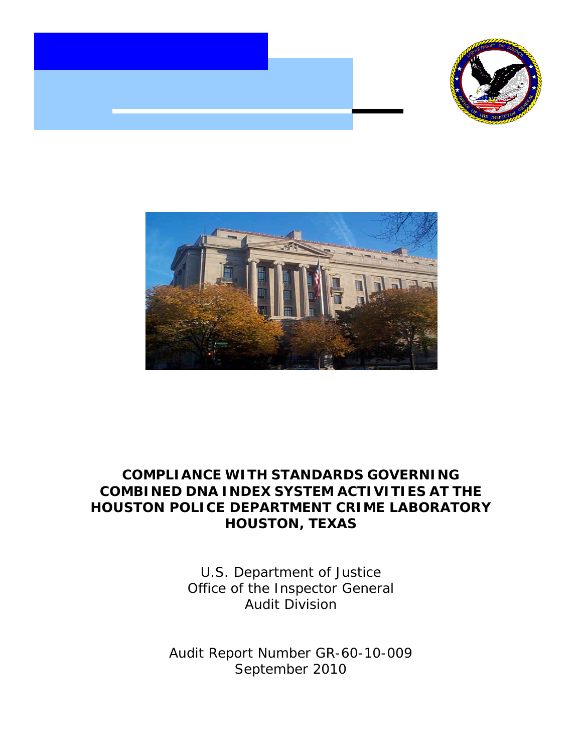





# **COMPLIANCE WITH STANDARDS GOVERNING COMBINED DNA INDEX SYSTEM ACTIVITIES AT THE HOUSTON POLICE DEPARTMENT CRIME LABORATORY HOUSTON, TEXAS**

U.S. Department of Justice Office of the Inspector General Audit Division

Audit Report Number GR-60-10-009 September 2010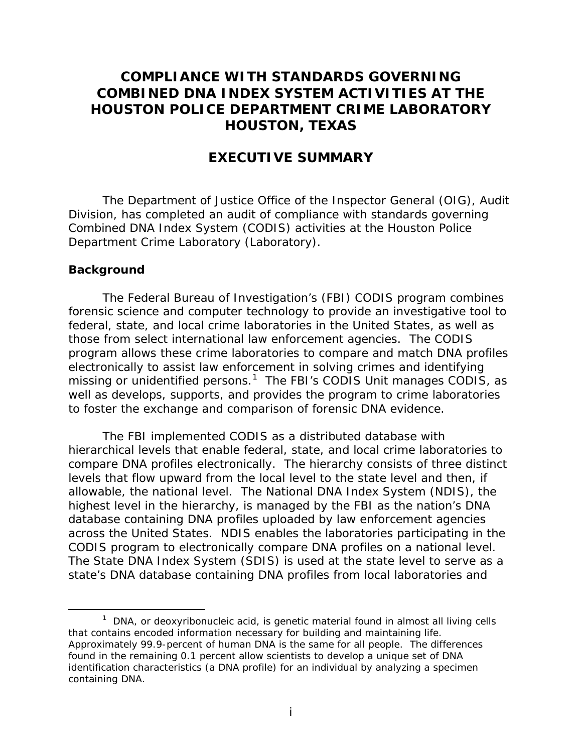# **COMPLIANCE WITH STANDARDS GOVERNING COMBINED DNA INDEX SYSTEM ACTIVITIES AT THE HOUSTON POLICE DEPARTMENT CRIME LABORATORY HOUSTON, TEXAS**

## **EXECUTIVE SUMMARY**

The Department of Justice Office of the Inspector General (OIG), Audit Division, has completed an audit of compliance with standards governing Combined DNA Index System (CODIS) activities at the Houston Police Department Crime Laboratory (Laboratory).

#### **Background**

The Federal Bureau of Investigation's (FBI) CODIS program combines forensic science and computer technology to provide an investigative tool to federal, state, and local crime laboratories in the United States, as well as those from select international law enforcement agencies. The CODIS program allows these crime laboratories to compare and match DNA profiles electronically to assist law enforcement in solving crimes and identifying missing or unidentified persons.<sup>[1](#page-1-0)</sup> The FBI's CODIS Unit manages CODIS, as well as develops, supports, and provides the program to crime laboratories to foster the exchange and comparison of forensic DNA evidence.

The FBI implemented CODIS as a distributed database with hierarchical levels that enable federal, state, and local crime laboratories to compare DNA profiles electronically. The hierarchy consists of three distinct levels that flow upward from the local level to the state level and then, if allowable, the national level. The National DNA Index System (NDIS), the highest level in the hierarchy, is managed by the FBI as the nation's DNA database containing DNA profiles uploaded by law enforcement agencies across the United States. NDIS enables the laboratories participating in the CODIS program to electronically compare DNA profiles on a national level. The State DNA Index System (SDIS) is used at the state level to serve as a state's DNA database containing DNA profiles from local laboratories and

<span id="page-1-0"></span> $\overline{\phantom{a}}$  $1$  DNA, or deoxyribonucleic acid, is genetic material found in almost all living cells that contains encoded information necessary for building and maintaining life. Approximately 99.9-percent of human DNA is the same for all people. The differences found in the remaining 0.1 percent allow scientists to develop a unique set of DNA identification characteristics (a DNA profile) for an individual by analyzing a specimen containing DNA.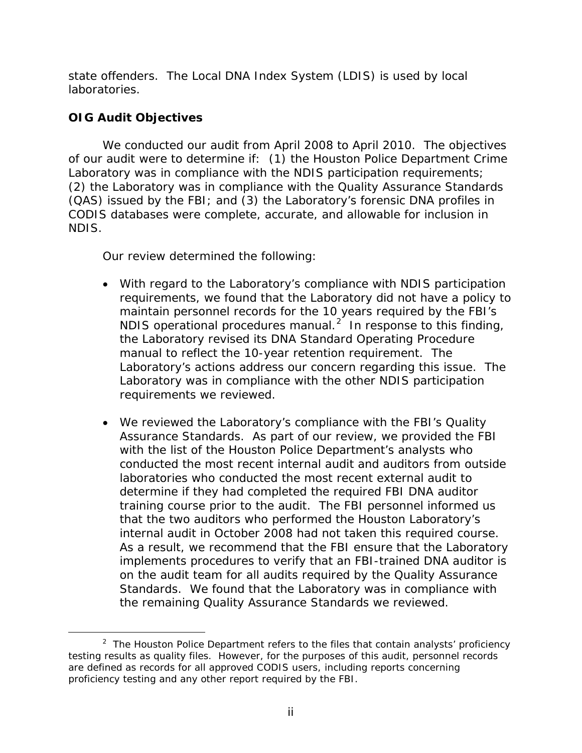state offenders. The Local DNA Index System (LDIS) is used by local laboratories.

# **OIG Audit Objectives**

We conducted our audit from April 2008 to April 2010. The objectives of our audit were to determine if: (1) the Houston Police Department Crime Laboratory was in compliance with the NDIS participation requirements; (2) the Laboratory was in compliance with the Quality Assurance Standards (QAS) issued by the FBI; and (3) the Laboratory's forensic DNA profiles in CODIS databases were complete, accurate, and allowable for inclusion in NDIS.

Our review determined the following:

- With regard to the Laboratory's compliance with NDIS participation requirements, we found that the Laboratory did not have a policy to maintain personnel records for the 10 years required by the FBI's NDIS operational procedures manual.<sup>[2](#page-2-0)</sup> In response to this finding, the Laboratory revised its DNA Standard Operating Procedure manual to reflect the 10-year retention requirement. The Laboratory's actions address our concern regarding this issue. The Laboratory was in compliance with the other NDIS participation requirements we reviewed.
- We reviewed the Laboratory's compliance with the FBI's Quality Assurance Standards. As part of our review, we provided the FBI with the list of the Houston Police Department's analysts who conducted the most recent internal audit and auditors from outside laboratories who conducted the most recent external audit to determine if they had completed the required FBI DNA auditor training course prior to the audit. The FBI personnel informed us that the two auditors who performed the Houston Laboratory's internal audit in October 2008 had not taken this required course. As a result, we recommend that the FBI ensure that the Laboratory implements procedures to verify that an FBI-trained DNA auditor is on the audit team for all audits required by the Quality Assurance Standards. We found that the Laboratory was in compliance with the remaining Quality Assurance Standards we reviewed.

<span id="page-2-0"></span> $\frac{1}{2}$  $2$  The Houston Police Department refers to the files that contain analysts' proficiency testing results as quality files. However, for the purposes of this audit, personnel records are defined as records for all approved CODIS users, including reports concerning proficiency testing and any other report required by the FBI.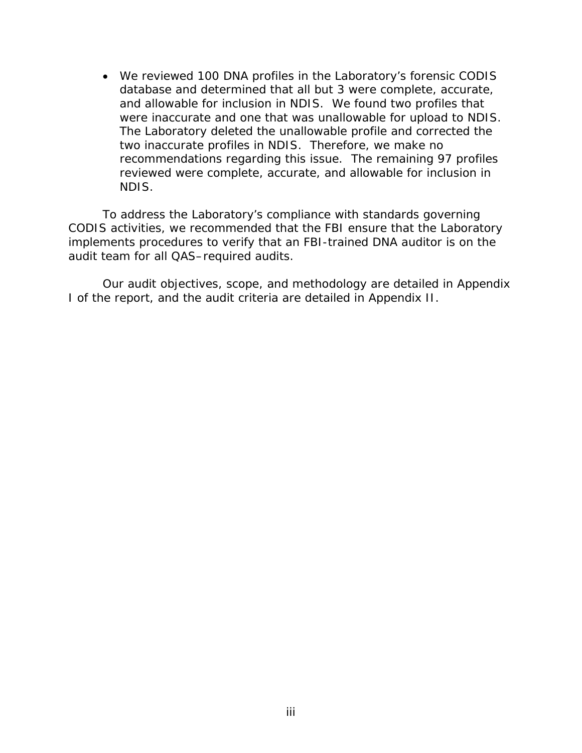• We reviewed 100 DNA profiles in the Laboratory's forensic CODIS database and determined that all but 3 were complete, accurate, and allowable for inclusion in NDIS. We found two profiles that were inaccurate and one that was unallowable for upload to NDIS. The Laboratory deleted the unallowable profile and corrected the two inaccurate profiles in NDIS. Therefore, we make no recommendations regarding this issue. The remaining 97 profiles reviewed were complete, accurate, and allowable for inclusion in NDIS.

To address the Laboratory's compliance with standards governing CODIS activities, we recommended that the FBI ensure that the Laboratory implements procedures to verify that an FBI-trained DNA auditor is on the audit team for all QAS–required audits.

Our audit objectives, scope, and methodology are detailed in Appendix I of the report, and the audit criteria are detailed in Appendix II.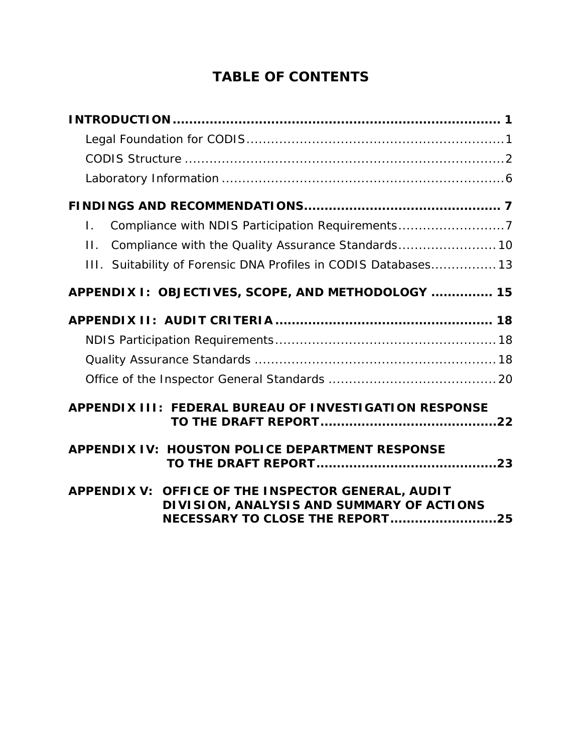# **TABLE OF CONTENTS**

| Compliance with NDIS Participation Requirements7<br>Τ.                                                                                    |  |
|-------------------------------------------------------------------------------------------------------------------------------------------|--|
| Compliance with the Quality Assurance Standards 10<br>П.                                                                                  |  |
| III. Suitability of Forensic DNA Profiles in CODIS Databases 13                                                                           |  |
| APPENDIX I: OBJECTIVES, SCOPE, AND METHODOLOGY  15                                                                                        |  |
|                                                                                                                                           |  |
|                                                                                                                                           |  |
|                                                                                                                                           |  |
|                                                                                                                                           |  |
| <b>APPENDIX III: FEDERAL BUREAU OF INVESTIGATION RESPONSE</b>                                                                             |  |
| <b>APPENDIX IV: HOUSTON POLICE DEPARTMENT RESPONSE</b>                                                                                    |  |
| APPENDIX V: OFFICE OF THE INSPECTOR GENERAL, AUDIT<br>DIVISION, ANALYSIS AND SUMMARY OF ACTIONS<br><b>NECESSARY TO CLOSE THE REPORT25</b> |  |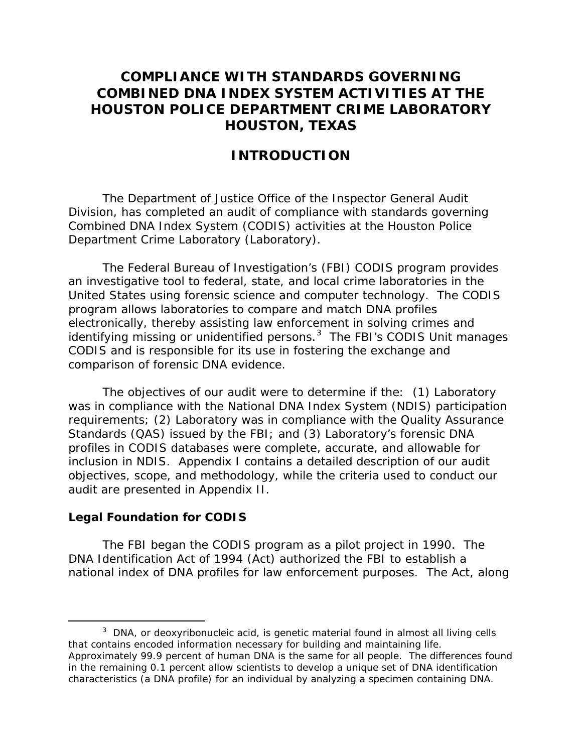# <span id="page-5-0"></span>**COMPLIANCE WITH STANDARDS GOVERNING COMBINED DNA INDEX SYSTEM ACTIVITIES AT THE HOUSTON POLICE DEPARTMENT CRIME LABORATORY HOUSTON, TEXAS**

# **INTRODUCTION**

The Department of Justice Office of the Inspector General Audit Division, has completed an audit of compliance with standards governing Combined DNA Index System (CODIS) activities at the Houston Police Department Crime Laboratory (Laboratory).

The Federal Bureau of Investigation's (FBI) CODIS program provides an investigative tool to federal, state, and local crime laboratories in the United States using forensic science and computer technology. The CODIS program allows laboratories to compare and match DNA profiles electronically, thereby assisting law enforcement in solving crimes and identifying missing or unidentified persons.<sup>[3](#page-5-2)</sup> The FBI's CODIS Unit manages CODIS and is responsible for its use in fostering the exchange and comparison of forensic DNA evidence.

The objectives of our audit were to determine if the: (1) Laboratory was in compliance with the National DNA Index System (NDIS) participation requirements; (2) Laboratory was in compliance with the Quality Assurance Standards (QAS) issued by the FBI; and (3) Laboratory's forensic DNA profiles in CODIS databases were complete, accurate, and allowable for inclusion in NDIS. Appendix I contains a detailed description of our audit objectives, scope, and methodology, while the criteria used to conduct our audit are presented in Appendix II.

#### <span id="page-5-1"></span>**Legal Foundation for CODIS**

The FBI began the CODIS program as a pilot project in 1990. The DNA Identification Act of 1994 (Act) authorized the FBI to establish a national index of DNA profiles for law enforcement purposes. The Act, along

<span id="page-5-2"></span> $\frac{1}{3}$ <sup>3</sup> DNA, or deoxyribonucleic acid, is genetic material found in almost all living cells that contains encoded information necessary for building and maintaining life. Approximately 99.9 percent of human DNA is the same for all people. The differences found in the remaining 0.1 percent allow scientists to develop a unique set of DNA identification characteristics (a DNA profile) for an individual by analyzing a specimen containing DNA.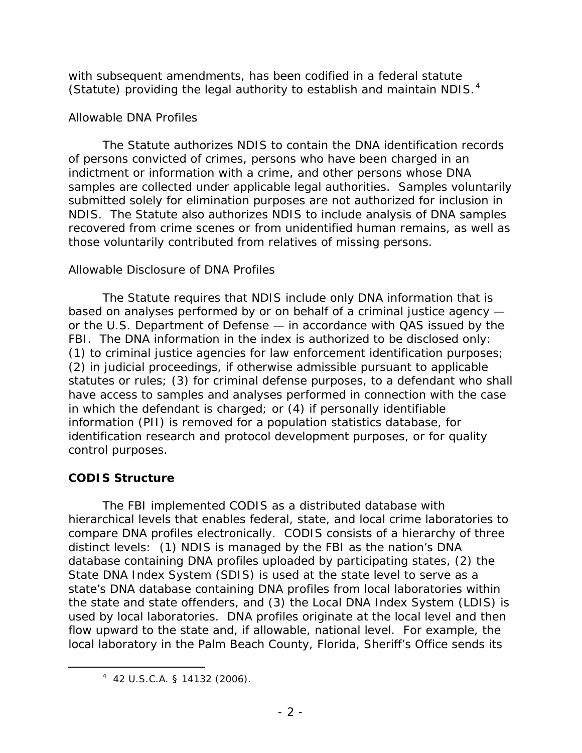with subsequent amendments, has been codified in a federal statute (Statute) providing the legal authority to establish and maintain NDIS.<sup>[4](#page-6-1)</sup>

## *Allowable DNA Profiles*

The Statute authorizes NDIS to contain the DNA identification records of persons convicted of crimes, persons who have been charged in an indictment or information with a crime, and other persons whose DNA samples are collected under applicable legal authorities. Samples voluntarily submitted solely for elimination purposes are not authorized for inclusion in NDIS. The Statute also authorizes NDIS to include analysis of DNA samples recovered from crime scenes or from unidentified human remains, as well as those voluntarily contributed from relatives of missing persons.

## *Allowable Disclosure of DNA Profiles*

The Statute requires that NDIS include only DNA information that is based on analyses performed by or on behalf of a criminal justice agency or the U.S. Department of Defense — in accordance with QAS issued by the FBI. The DNA information in the index is authorized to be disclosed only: (1) to criminal justice agencies for law enforcement identification purposes; (2) in judicial proceedings, if otherwise admissible pursuant to applicable statutes or rules; (3) for criminal defense purposes, to a defendant who shall have access to samples and analyses performed in connection with the case in which the defendant is charged; or (4) if personally identifiable information (PII) is removed for a population statistics database, for identification research and protocol development purposes, or for quality control purposes.

# <span id="page-6-0"></span>**CODIS Structure**

 $\overline{a}$ 

The FBI implemented CODIS as a distributed database with hierarchical levels that enables federal, state, and local crime laboratories to compare DNA profiles electronically. CODIS consists of a hierarchy of three distinct levels: (1) NDIS is managed by the FBI as the nation's DNA database containing DNA profiles uploaded by participating states, (2) the State DNA Index System (SDIS) is used at the state level to serve as a state's DNA database containing DNA profiles from local laboratories within the state and state offenders, and (3) the Local DNA Index System (LDIS) is used by local laboratories. DNA profiles originate at the local level and then flow upward to the state and, if allowable, national level. For example, the local laboratory in the Palm Beach County, Florida, Sheriff's Office sends its

<span id="page-6-1"></span><sup>4</sup> 42 U.S.C.A. § 14132 (2006).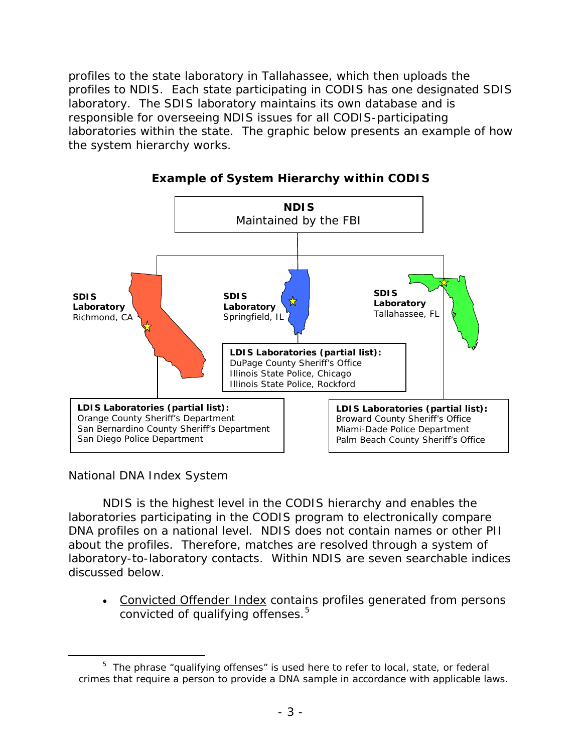profiles to the state laboratory in Tallahassee, which then uploads the profiles to NDIS. Each state participating in CODIS has one designated SDIS laboratory. The SDIS laboratory maintains its own database and is responsible for overseeing NDIS issues for all CODIS-participating laboratories within the state. The graphic below presents an example of how the system hierarchy works.



**Example of System Hierarchy within CODIS** 

*National DNA Index System*

 $\overline{a}$ 

NDIS is the highest level in the CODIS hierarchy and enables the laboratories participating in the CODIS program to electronically compare DNA profiles on a national level. NDIS does not contain names or other PII about the profiles. Therefore, matches are resolved through a system of laboratory-to-laboratory contacts. Within NDIS are seven searchable indices discussed below.

• Convicted Offender Index contains profiles generated from persons convicted of qualifying offenses.<sup>[5](#page-7-0)</sup>

<span id="page-7-0"></span><sup>&</sup>lt;sup>5</sup> The phrase "qualifying offenses" is used here to refer to local, state, or federal crimes that require a person to provide a DNA sample in accordance with applicable laws.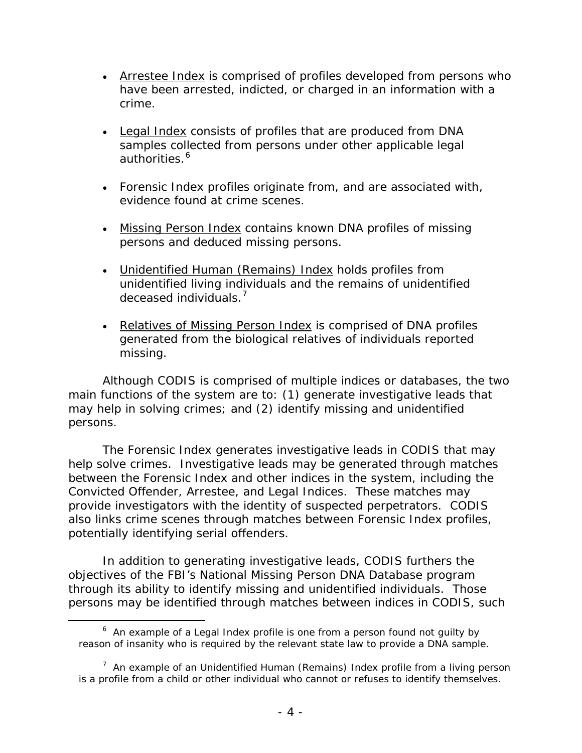- Arrestee Index is comprised of profiles developed from persons who have been arrested, indicted, or charged in an information with a crime.
- Legal Index consists of profiles that are produced from DNA samples collected from persons under other applicable legal authorities.<sup>[6](#page-8-0)</sup>
- Forensic Index profiles originate from, and are associated with, evidence found at crime scenes.
- Missing Person Index contains known DNA profiles of missing persons and deduced missing persons.
- Unidentified Human (Remains) Index holds profiles from unidentified living individuals and the remains of unidentified deceased individuals.<sup>[7](#page-8-1)</sup>
- Relatives of Missing Person Index is comprised of DNA profiles generated from the biological relatives of individuals reported missing.

Although CODIS is comprised of multiple indices or databases, the two main functions of the system are to: (1) generate investigative leads that may help in solving crimes; and (2) identify missing and unidentified persons.

The Forensic Index generates investigative leads in CODIS that may help solve crimes. Investigative leads may be generated through matches between the Forensic Index and other indices in the system, including the Convicted Offender, Arrestee, and Legal Indices. These matches may provide investigators with the identity of suspected perpetrators. CODIS also links crime scenes through matches between Forensic Index profiles, potentially identifying serial offenders.

In addition to generating investigative leads, CODIS furthers the objectives of the FBI's National Missing Person DNA Database program through its ability to identify missing and unidentified individuals. Those persons may be identified through matches between indices in CODIS, such

 $\overline{a}$ 

<span id="page-8-0"></span><sup>&</sup>lt;sup>6</sup> An example of a Legal Index profile is one from a person found not guilty by reason of insanity who is required by the relevant state law to provide a DNA sample.

<span id="page-8-1"></span><sup>&</sup>lt;sup>7</sup> An example of an Unidentified Human (Remains) Index profile from a living person is a profile from a child or other individual who cannot or refuses to identify themselves.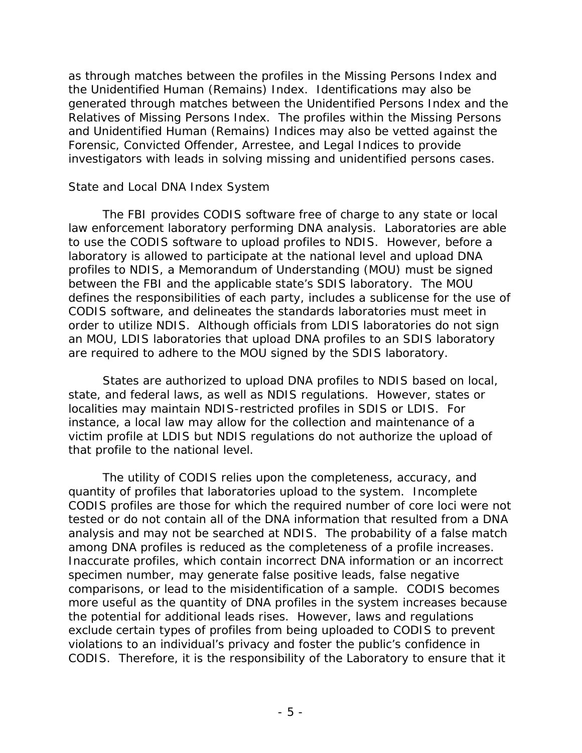as through matches between the profiles in the Missing Persons Index and the Unidentified Human (Remains) Index. Identifications may also be generated through matches between the Unidentified Persons Index and the Relatives of Missing Persons Index. The profiles within the Missing Persons and Unidentified Human (Remains) Indices may also be vetted against the Forensic, Convicted Offender, Arrestee, and Legal Indices to provide investigators with leads in solving missing and unidentified persons cases.

#### *State and Local DNA Index System*

The FBI provides CODIS software free of charge to any state or local law enforcement laboratory performing DNA analysis. Laboratories are able to use the CODIS software to upload profiles to NDIS. However, before a laboratory is allowed to participate at the national level and upload DNA profiles to NDIS, a Memorandum of Understanding (MOU) must be signed between the FBI and the applicable state's SDIS laboratory. The MOU defines the responsibilities of each party, includes a sublicense for the use of CODIS software, and delineates the standards laboratories must meet in order to utilize NDIS. Although officials from LDIS laboratories do not sign an MOU, LDIS laboratories that upload DNA profiles to an SDIS laboratory are required to adhere to the MOU signed by the SDIS laboratory.

States are authorized to upload DNA profiles to NDIS based on local, state, and federal laws, as well as NDIS regulations. However, states or localities may maintain NDIS-restricted profiles in SDIS or LDIS. For instance, a local law may allow for the collection and maintenance of a victim profile at LDIS but NDIS regulations do not authorize the upload of that profile to the national level.

The utility of CODIS relies upon the completeness, accuracy, and quantity of profiles that laboratories upload to the system. Incomplete CODIS profiles are those for which the required number of core loci were not tested or do not contain all of the DNA information that resulted from a DNA analysis and may not be searched at NDIS. The probability of a false match among DNA profiles is reduced as the completeness of a profile increases. Inaccurate profiles, which contain incorrect DNA information or an incorrect specimen number, may generate false positive leads, false negative comparisons, or lead to the misidentification of a sample. CODIS becomes more useful as the quantity of DNA profiles in the system increases because the potential for additional leads rises. However, laws and regulations exclude certain types of profiles from being uploaded to CODIS to prevent violations to an individual's privacy and foster the public's confidence in CODIS. Therefore, it is the responsibility of the Laboratory to ensure that it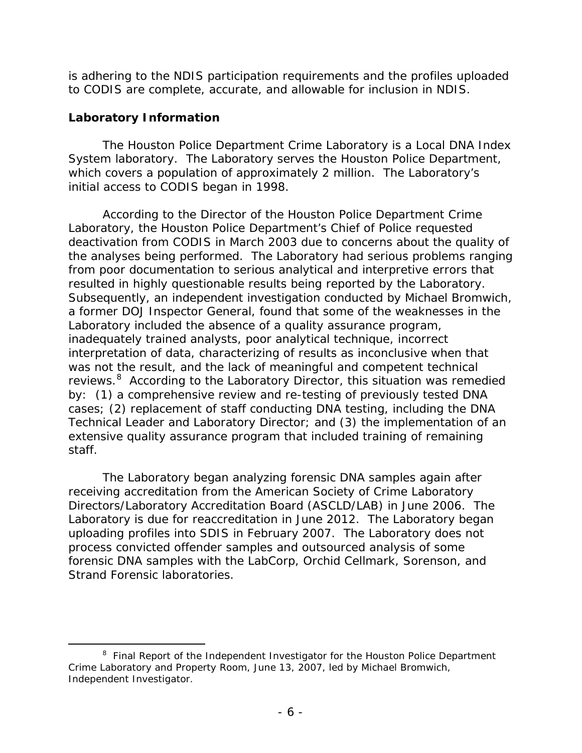is adhering to the NDIS participation requirements and the profiles uploaded to CODIS are complete, accurate, and allowable for inclusion in NDIS.

## <span id="page-10-0"></span>**Laboratory Information**

The Houston Police Department Crime Laboratory is a Local DNA Index System laboratory. The Laboratory serves the Houston Police Department, which covers a population of approximately 2 million. The Laboratory's initial access to CODIS began in 1998.

According to the Director of the Houston Police Department Crime Laboratory, the Houston Police Department's Chief of Police requested deactivation from CODIS in March 2003 due to concerns about the quality of the analyses being performed. The Laboratory had serious problems ranging from poor documentation to serious analytical and interpretive errors that resulted in highly questionable results being reported by the Laboratory. Subsequently, an independent investigation conducted by Michael Bromwich, a former DOJ Inspector General, found that some of the weaknesses in the Laboratory included the absence of a quality assurance program, inadequately trained analysts, poor analytical technique, incorrect interpretation of data, characterizing of results as inconclusive when that was not the result, and the lack of meaningful and competent technical reviews.<sup>[8](#page-10-1)</sup> According to the Laboratory Director, this situation was remedied by: (1) a comprehensive review and re-testing of previously tested DNA cases; (2) replacement of staff conducting DNA testing, including the DNA Technical Leader and Laboratory Director; and (3) the implementation of an extensive quality assurance program that included training of remaining staff.

The Laboratory began analyzing forensic DNA samples again after receiving accreditation from the American Society of Crime Laboratory Directors/Laboratory Accreditation Board (ASCLD/LAB) in June 2006. The Laboratory is due for reaccreditation in June 2012. The Laboratory began uploading profiles into SDIS in February 2007. The Laboratory does not process convicted offender samples and outsourced analysis of some forensic DNA samples with the LabCorp, Orchid Cellmark, Sorenson, and Strand Forensic laboratories.

<span id="page-10-1"></span> <sup>8</sup>  $8$  Final Report of the Independent Investigator for the Houston Police Department Crime Laboratory and Property Room, June 13, 2007, led by Michael Bromwich, Independent Investigator.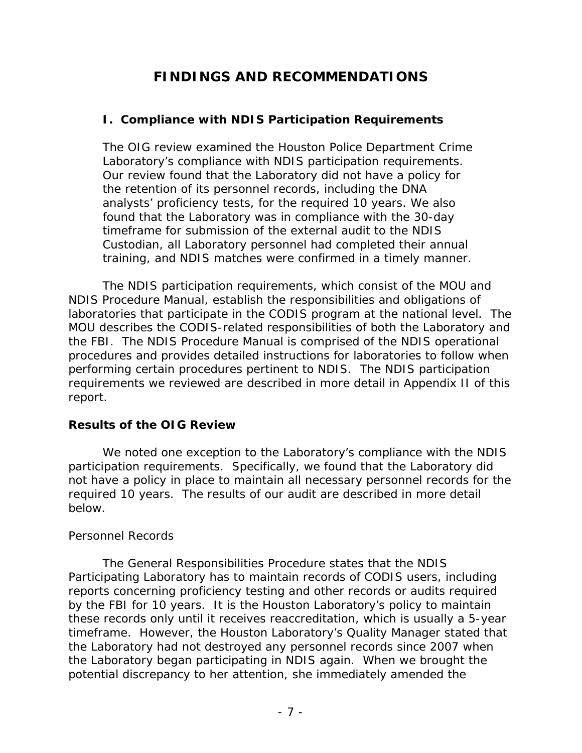# **FINDINGS AND RECOMMENDATIONS**

## <span id="page-11-1"></span><span id="page-11-0"></span>**I. Compliance with NDIS Participation Requirements**

The OIG review examined the Houston Police Department Crime Laboratory's compliance with NDIS participation requirements. Our review found that the Laboratory did not have a policy for the retention of its personnel records, including the DNA analysts' proficiency tests, for the required 10 years. We also found that the Laboratory was in compliance with the 30-day timeframe for submission of the external audit to the NDIS Custodian, all Laboratory personnel had completed their annual training, and NDIS matches were confirmed in a timely manner.

The NDIS participation requirements, which consist of the MOU and NDIS Procedure Manual, establish the responsibilities and obligations of laboratories that participate in the CODIS program at the national level. The MOU describes the CODIS-related responsibilities of both the Laboratory and the FBI. The NDIS Procedure Manual is comprised of the NDIS operational procedures and provides detailed instructions for laboratories to follow when performing certain procedures pertinent to NDIS. The NDIS participation requirements we reviewed are described in more detail in Appendix II of this report.

## **Results of the OIG Review**

We noted one exception to the Laboratory's compliance with the NDIS participation requirements. Specifically, we found that the Laboratory did not have a policy in place to maintain all necessary personnel records for the required 10 years. The results of our audit are described in more detail below.

#### *Personnel Records*

The General Responsibilities Procedure states that the NDIS Participating Laboratory has to maintain records of CODIS users, including reports concerning proficiency testing and other records or audits required by the FBI for 10 years. It is the Houston Laboratory's policy to maintain these records only until it receives reaccreditation, which is usually a 5-year timeframe. However, the Houston Laboratory's Quality Manager stated that the Laboratory had not destroyed any personnel records since 2007 when the Laboratory began participating in NDIS again. When we brought the potential discrepancy to her attention, she immediately amended the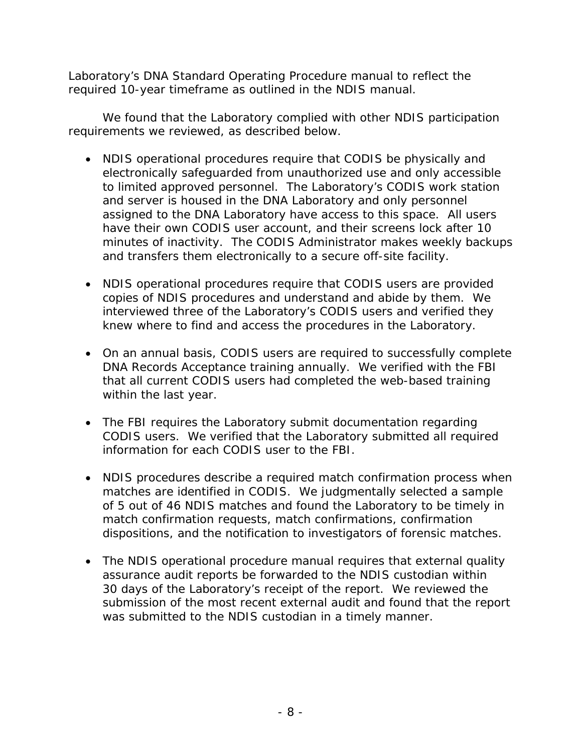Laboratory's DNA Standard Operating Procedure manual to reflect the required 10-year timeframe as outlined in the NDIS manual.

We found that the Laboratory complied with other NDIS participation requirements we reviewed, as described below.

- NDIS operational procedures require that CODIS be physically and electronically safeguarded from unauthorized use and only accessible to limited approved personnel. The Laboratory's CODIS work station and server is housed in the DNA Laboratory and only personnel assigned to the DNA Laboratory have access to this space. All users have their own CODIS user account, and their screens lock after 10 minutes of inactivity. The CODIS Administrator makes weekly backups and transfers them electronically to a secure off-site facility.
- NDIS operational procedures require that CODIS users are provided copies of NDIS procedures and understand and abide by them. We interviewed three of the Laboratory's CODIS users and verified they knew where to find and access the procedures in the Laboratory.
- On an annual basis, CODIS users are required to successfully complete DNA Records Acceptance training annually. We verified with the FBI that all current CODIS users had completed the web-based training within the last year.
- The FBI requires the Laboratory submit documentation regarding CODIS users. We verified that the Laboratory submitted all required information for each CODIS user to the FBI.
- NDIS procedures describe a required match confirmation process when matches are identified in CODIS. We judgmentally selected a sample of 5 out of 46 NDIS matches and found the Laboratory to be timely in match confirmation requests, match confirmations, confirmation dispositions, and the notification to investigators of forensic matches.
- The NDIS operational procedure manual requires that external quality assurance audit reports be forwarded to the NDIS custodian within 30 days of the Laboratory's receipt of the report. We reviewed the submission of the most recent external audit and found that the report was submitted to the NDIS custodian in a timely manner.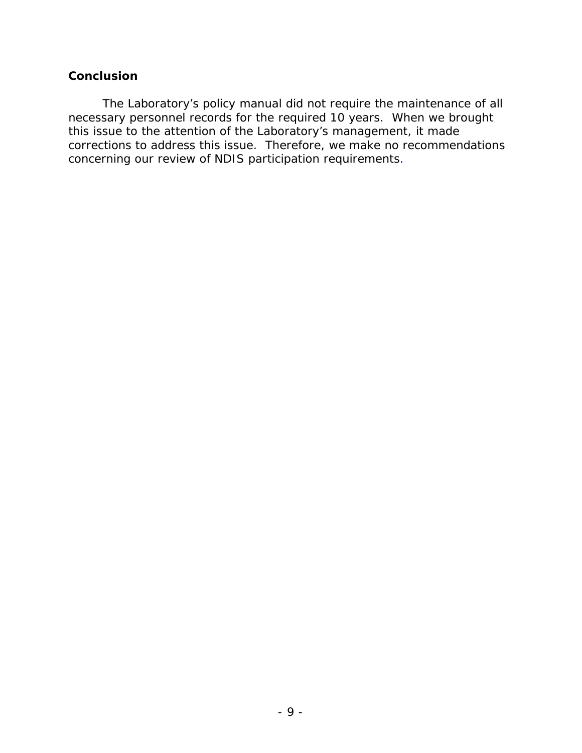## **Conclusion**

The Laboratory's policy manual did not require the maintenance of all necessary personnel records for the required 10 years. When we brought this issue to the attention of the Laboratory's management, it made corrections to address this issue. Therefore, we make no recommendations concerning our review of NDIS participation requirements.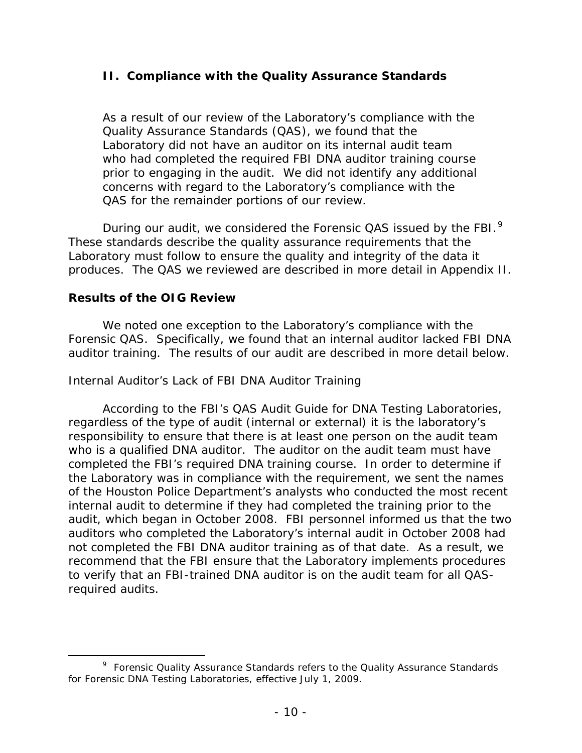## <span id="page-14-0"></span>**II. Compliance with the Quality Assurance Standards**

As a result of our review of the Laboratory's compliance with the Quality Assurance Standards (QAS), we found that the Laboratory did not have an auditor on its internal audit team who had completed the required FBI DNA auditor training course prior to engaging in the audit. We did not identify any additional concerns with regard to the Laboratory's compliance with the QAS for the remainder portions of our review.

During our audit, we considered the Forensic QAS issued by the FBI. $^{9}$  $^{9}$  $^{9}$ These standards describe the quality assurance requirements that the Laboratory must follow to ensure the quality and integrity of the data it produces. The QAS we reviewed are described in more detail in Appendix II.

## **Results of the OIG Review**

We noted one exception to the Laboratory's compliance with the Forensic QAS. Specifically, we found that an internal auditor lacked FBI DNA auditor training. The results of our audit are described in more detail below.

## *Internal Auditor's Lack of FBI DNA Auditor Training*

According to the FBI's QAS Audit Guide for DNA Testing Laboratories, regardless of the type of audit (internal or external) it is the laboratory's responsibility to ensure that there is at least one person on the audit team who is a qualified DNA auditor. The auditor on the audit team must have completed the FBI's required DNA training course. In order to determine if the Laboratory was in compliance with the requirement, we sent the names of the Houston Police Department's analysts who conducted the most recent internal audit to determine if they had completed the training prior to the audit, which began in October 2008. FBI personnel informed us that the two auditors who completed the Laboratory's internal audit in October 2008 had not completed the FBI DNA auditor training as of that date. As a result, we recommend that the FBI ensure that the Laboratory implements procedures to verify that an FBI-trained DNA auditor is on the audit team for all QASrequired audits.

<span id="page-14-1"></span> <sup>9</sup>  $9$  Forensic Quality Assurance Standards refers to the Quality Assurance Standards for Forensic DNA Testing Laboratories, effective July 1, 2009.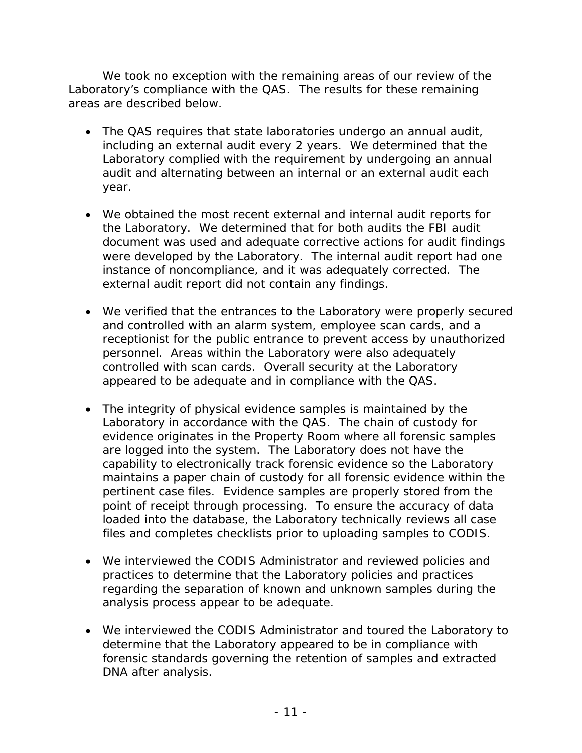We took no exception with the remaining areas of our review of the Laboratory's compliance with the QAS. The results for these remaining areas are described below.

- The QAS requires that state laboratories undergo an annual audit, including an external audit every 2 years. We determined that the Laboratory complied with the requirement by undergoing an annual audit and alternating between an internal or an external audit each year.
- We obtained the most recent external and internal audit reports for the Laboratory. We determined that for both audits the FBI audit document was used and adequate corrective actions for audit findings were developed by the Laboratory. The internal audit report had one instance of noncompliance, and it was adequately corrected. The external audit report did not contain any findings.
- We verified that the entrances to the Laboratory were properly secured and controlled with an alarm system, employee scan cards, and a receptionist for the public entrance to prevent access by unauthorized personnel. Areas within the Laboratory were also adequately controlled with scan cards. Overall security at the Laboratory appeared to be adequate and in compliance with the QAS.
- The integrity of physical evidence samples is maintained by the Laboratory in accordance with the QAS. The chain of custody for evidence originates in the Property Room where all forensic samples are logged into the system. The Laboratory does not have the capability to electronically track forensic evidence so the Laboratory maintains a paper chain of custody for all forensic evidence within the pertinent case files. Evidence samples are properly stored from the point of receipt through processing. To ensure the accuracy of data loaded into the database, the Laboratory technically reviews all case files and completes checklists prior to uploading samples to CODIS.
- We interviewed the CODIS Administrator and reviewed policies and practices to determine that the Laboratory policies and practices regarding the separation of known and unknown samples during the analysis process appear to be adequate.
- We interviewed the CODIS Administrator and toured the Laboratory to determine that the Laboratory appeared to be in compliance with forensic standards governing the retention of samples and extracted DNA after analysis.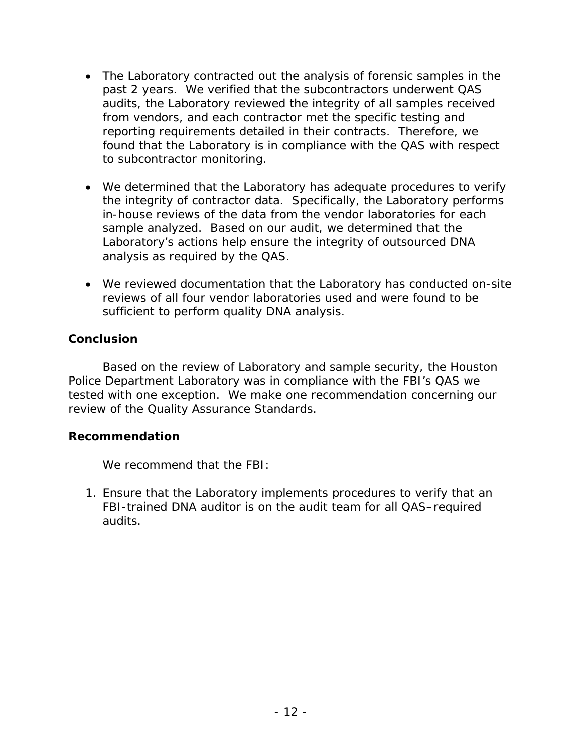- The Laboratory contracted out the analysis of forensic samples in the past 2 years. We verified that the subcontractors underwent QAS audits, the Laboratory reviewed the integrity of all samples received from vendors, and each contractor met the specific testing and reporting requirements detailed in their contracts. Therefore, we found that the Laboratory is in compliance with the QAS with respect to subcontractor monitoring.
- We determined that the Laboratory has adequate procedures to verify the integrity of contractor data. Specifically, the Laboratory performs in-house reviews of the data from the vendor laboratories for each sample analyzed. Based on our audit, we determined that the Laboratory's actions help ensure the integrity of outsourced DNA analysis as required by the QAS.
- We reviewed documentation that the Laboratory has conducted on-site reviews of all four vendor laboratories used and were found to be sufficient to perform quality DNA analysis.

# **Conclusion**

Based on the review of Laboratory and sample security, the Houston Police Department Laboratory was in compliance with the FBI's QAS we tested with one exception. We make one recommendation concerning our review of the Quality Assurance Standards.

## **Recommendation**

We recommend that the FBI:

1. Ensure that the Laboratory implements procedures to verify that an FBI-trained DNA auditor is on the audit team for all QAS–required audits.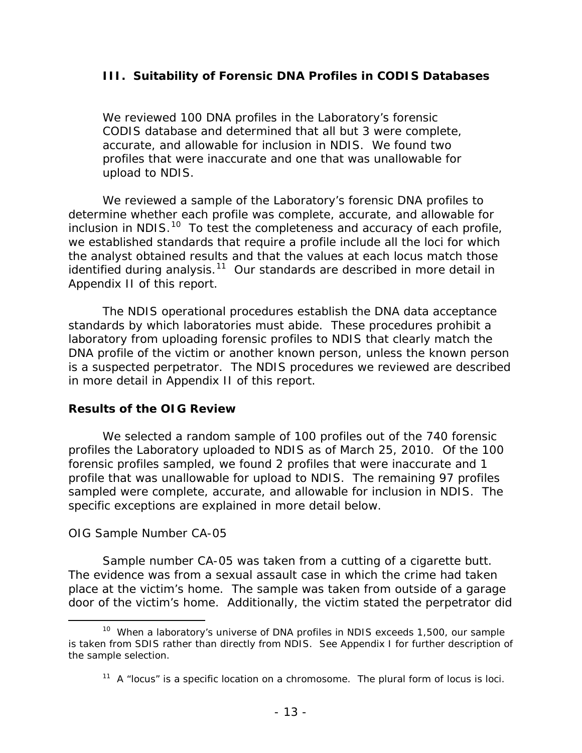## <span id="page-17-0"></span>**III. Suitability of Forensic DNA Profiles in CODIS Databases**

We reviewed 100 DNA profiles in the Laboratory's forensic CODIS database and determined that all but 3 were complete, accurate, and allowable for inclusion in NDIS. We found two profiles that were inaccurate and one that was unallowable for upload to NDIS.

We reviewed a sample of the Laboratory's forensic DNA profiles to determine whether each profile was complete, accurate, and allowable for inclusion in NDIS. $10$  To test the completeness and accuracy of each profile, we established standards that require a profile include all the loci for which the analyst obtained results and that the values at each locus match those identified during analysis.<sup>[11](#page-17-2)</sup> Our standards are described in more detail in Appendix II of this report.

The NDIS operational procedures establish the DNA data acceptance standards by which laboratories must abide. These procedures prohibit a laboratory from uploading forensic profiles to NDIS that clearly match the DNA profile of the victim or another known person, unless the known person is a suspected perpetrator. The NDIS procedures we reviewed are described in more detail in Appendix II of this report.

## **Results of the OIG Review**

We selected a random sample of 100 profiles out of the 740 forensic profiles the Laboratory uploaded to NDIS as of March 25, 2010. Of the 100 forensic profiles sampled, we found 2 profiles that were inaccurate and 1 profile that was unallowable for upload to NDIS. The remaining 97 profiles sampled were complete, accurate, and allowable for inclusion in NDIS. The specific exceptions are explained in more detail below.

## *OIG Sample Number CA-05*

Sample number CA-05 was taken from a cutting of a cigarette butt. The evidence was from a sexual assault case in which the crime had taken place at the victim's home. The sample was taken from outside of a garage door of the victim's home. Additionally, the victim stated the perpetrator did

<span id="page-17-2"></span><span id="page-17-1"></span><sup>&</sup>lt;sup>10</sup> When a laboratory's universe of DNA profiles in NDIS exceeds 1,500, our sample is taken from SDIS rather than directly from NDIS. See Appendix I for further description of the sample selection.

 $11$  A "locus" is a specific location on a chromosome. The plural form of locus is loci.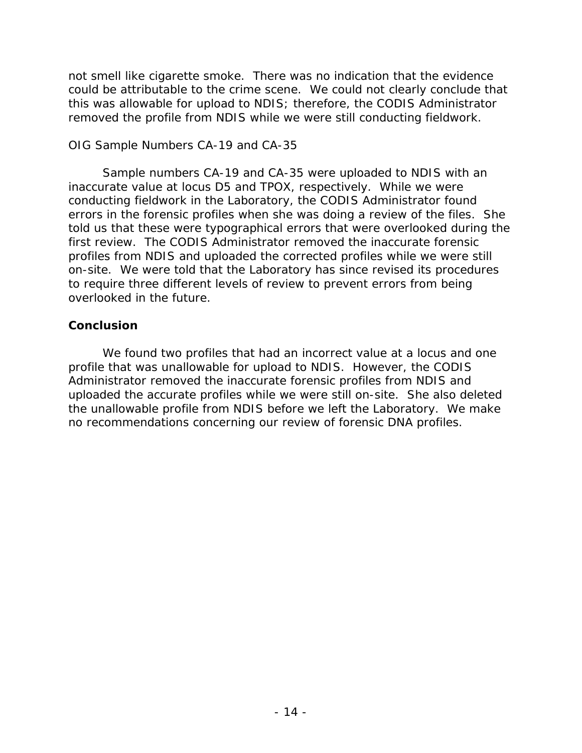not smell like cigarette smoke. There was no indication that the evidence could be attributable to the crime scene. We could not clearly conclude that this was allowable for upload to NDIS; therefore, the CODIS Administrator removed the profile from NDIS while we were still conducting fieldwork.

#### *OIG Sample Numbers CA-19 and CA-35*

Sample numbers CA-19 and CA-35 were uploaded to NDIS with an inaccurate value at locus D5 and TPOX, respectively. While we were conducting fieldwork in the Laboratory, the CODIS Administrator found errors in the forensic profiles when she was doing a review of the files. She told us that these were typographical errors that were overlooked during the first review. The CODIS Administrator removed the inaccurate forensic profiles from NDIS and uploaded the corrected profiles while we were still on-site. We were told that the Laboratory has since revised its procedures to require three different levels of review to prevent errors from being overlooked in the future.

## **Conclusion**

We found two profiles that had an incorrect value at a locus and one profile that was unallowable for upload to NDIS. However, the CODIS Administrator removed the inaccurate forensic profiles from NDIS and uploaded the accurate profiles while we were still on-site. She also deleted the unallowable profile from NDIS before we left the Laboratory. We make no recommendations concerning our review of forensic DNA profiles.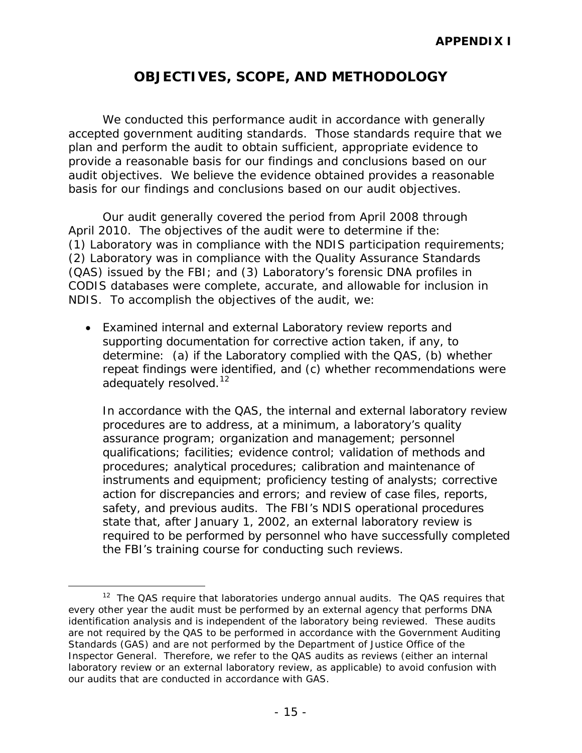# **OBJECTIVES, SCOPE, AND METHODOLOGY**

<span id="page-19-0"></span>We conducted this performance audit in accordance with generally accepted government auditing standards. Those standards require that we plan and perform the audit to obtain sufficient, appropriate evidence to provide a reasonable basis for our findings and conclusions based on our audit objectives. We believe the evidence obtained provides a reasonable basis for our findings and conclusions based on our audit objectives.

Our audit generally covered the period from April 2008 through April 2010. The objectives of the audit were to determine if the: (1) Laboratory was in compliance with the NDIS participation requirements; (2) Laboratory was in compliance with the Quality Assurance Standards (QAS) issued by the FBI; and (3) Laboratory's forensic DNA profiles in CODIS databases were complete, accurate, and allowable for inclusion in NDIS. To accomplish the objectives of the audit, we:

• Examined internal and external Laboratory review reports and supporting documentation for corrective action taken, if any, to determine: (a) if the Laboratory complied with the QAS, (b) whether repeat findings were identified, and (c) whether recommendations were adequately resolved.<sup>12</sup>

In accordance with the QAS, the internal and external laboratory review procedures are to address, at a minimum, a laboratory's quality assurance program; organization and management; personnel qualifications; facilities; evidence control; validation of methods and procedures; analytical procedures; calibration and maintenance of instruments and equipment; proficiency testing of analysts; corrective action for discrepancies and errors; and review of case files, reports, safety, and previous audits. The FBI's NDIS operational procedures state that, after January 1, 2002, an external laboratory review is required to be performed by personnel who have successfully completed the FBI's training course for conducting such reviews.

<span id="page-19-1"></span> $12$  The QAS require that laboratories undergo annual audits. The QAS requires that every other year the audit must be performed by an external agency that performs DNA identification analysis and is independent of the laboratory being reviewed. These audits are not required by the QAS to be performed in accordance with the *Government Auditing Standards* (GAS) and are not performed by the Department of Justice Office of the Inspector General. Therefore, we refer to the QAS audits as reviews (either an internal laboratory review or an external laboratory review, as applicable) to avoid confusion with our audits that are conducted in accordance with GAS.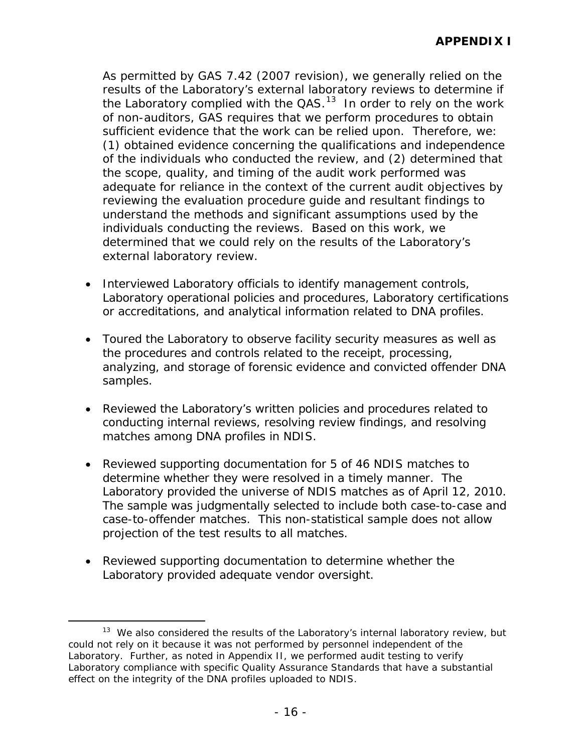As permitted by GAS 7.42 (2007 revision), we generally relied on the results of the Laboratory's external laboratory reviews to determine if the Laboratory complied with the  $QAS$ .<sup>13</sup> In order to rely on the work of non-auditors, GAS requires that we perform procedures to obtain sufficient evidence that the work can be relied upon. Therefore, we: (1) obtained evidence concerning the qualifications and independence of the individuals who conducted the review, and (2) determined that the scope, quality, and timing of the audit work performed was adequate for reliance in the context of the current audit objectives by reviewing the evaluation procedure guide and resultant findings to understand the methods and significant assumptions used by the individuals conducting the reviews. Based on this work, we determined that we could rely on the results of the Laboratory's external laboratory review.

- Interviewed Laboratory officials to identify management controls, Laboratory operational policies and procedures, Laboratory certifications or accreditations, and analytical information related to DNA profiles.
- Toured the Laboratory to observe facility security measures as well as the procedures and controls related to the receipt, processing, analyzing, and storage of forensic evidence and convicted offender DNA samples.
- Reviewed the Laboratory's written policies and procedures related to conducting internal reviews, resolving review findings, and resolving matches among DNA profiles in NDIS.
- Reviewed supporting documentation for 5 of 46 NDIS matches to determine whether they were resolved in a timely manner. The Laboratory provided the universe of NDIS matches as of April 12, 2010. The sample was judgmentally selected to include both case-to-case and case-to-offender matches. This non-statistical sample does not allow projection of the test results to all matches.
- Reviewed supporting documentation to determine whether the Laboratory provided adequate vendor oversight.

<span id="page-20-0"></span><sup>&</sup>lt;sup>13</sup> We also considered the results of the Laboratory's internal laboratory review, but could not rely on it because it was not performed by personnel independent of the Laboratory. Further, as noted in Appendix II, we performed audit testing to verify Laboratory compliance with specific Quality Assurance Standards that have a substantial effect on the integrity of the DNA profiles uploaded to NDIS.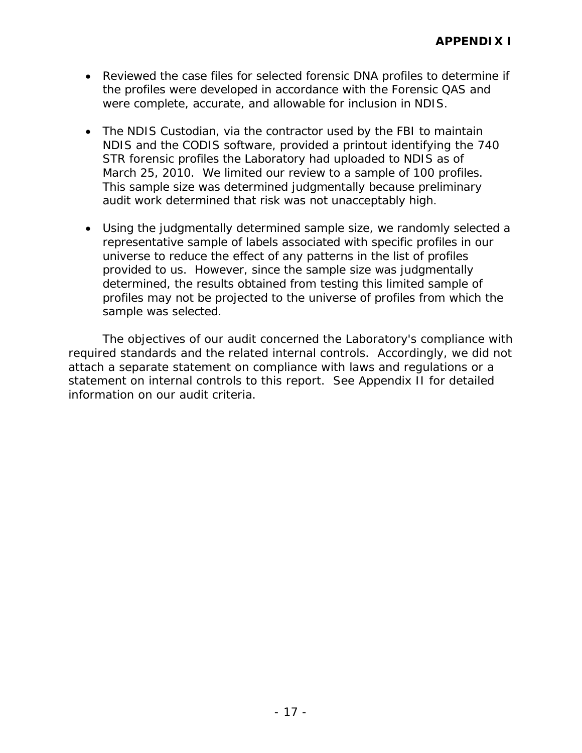- Reviewed the case files for selected forensic DNA profiles to determine if the profiles were developed in accordance with the Forensic QAS and were complete, accurate, and allowable for inclusion in NDIS.
- The NDIS Custodian, via the contractor used by the FBI to maintain NDIS and the CODIS software, provided a printout identifying the 740 STR forensic profiles the Laboratory had uploaded to NDIS as of March 25, 2010. We limited our review to a sample of 100 profiles. This sample size was determined judgmentally because preliminary audit work determined that risk was not unacceptably high.
- Using the judgmentally determined sample size, we randomly selected a representative sample of labels associated with specific profiles in our universe to reduce the effect of any patterns in the list of profiles provided to us. However, since the sample size was judgmentally determined, the results obtained from testing this limited sample of profiles may not be projected to the universe of profiles from which the sample was selected.

The objectives of our audit concerned the Laboratory's compliance with required standards and the related internal controls. Accordingly, we did not attach a separate statement on compliance with laws and regulations or a statement on internal controls to this report. See Appendix II for detailed information on our audit criteria.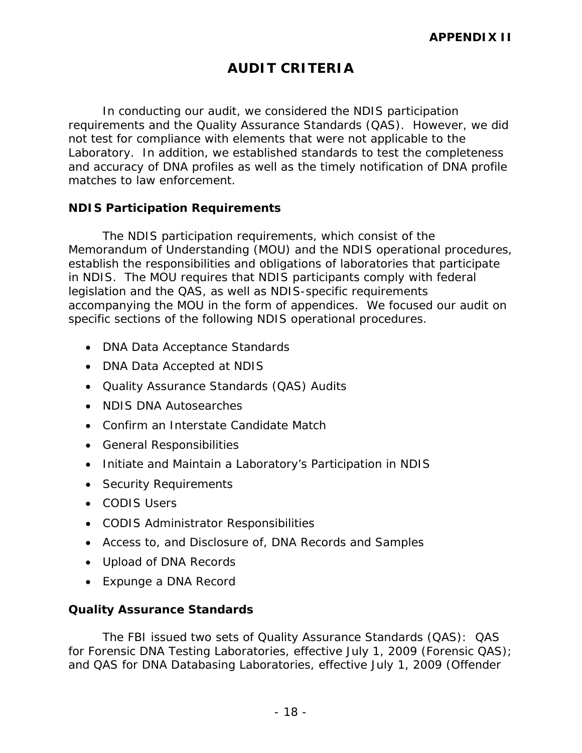# **AUDIT CRITERIA**

<span id="page-22-0"></span>In conducting our audit, we considered the NDIS participation requirements and the Quality Assurance Standards (QAS). However, we did not test for compliance with elements that were not applicable to the Laboratory. In addition, we established standards to test the completeness and accuracy of DNA profiles as well as the timely notification of DNA profile matches to law enforcement.

#### <span id="page-22-1"></span>**NDIS Participation Requirements**

The NDIS participation requirements, which consist of the Memorandum of Understanding (MOU) and the NDIS operational procedures, establish the responsibilities and obligations of laboratories that participate in NDIS. The MOU requires that NDIS participants comply with federal legislation and the QAS, as well as NDIS-specific requirements accompanying the MOU in the form of appendices. We focused our audit on specific sections of the following NDIS operational procedures.

- DNA Data Acceptance Standards
- DNA Data Accepted at NDIS
- Quality Assurance Standards (QAS) Audits
- NDIS DNA Autosearches
- Confirm an Interstate Candidate Match
- General Responsibilities
- Initiate and Maintain a Laboratory's Participation in NDIS
- Security Requirements
- CODIS Users
- CODIS Administrator Responsibilities
- Access to, and Disclosure of, DNA Records and Samples
- Upload of DNA Records
- Expunge a DNA Record

## <span id="page-22-2"></span>**Quality Assurance Standards**

The FBI issued two sets of Quality Assurance Standards (QAS): QAS for Forensic DNA Testing Laboratories, effective July 1, 2009 (Forensic QAS); and QAS for DNA Databasing Laboratories, effective July 1, 2009 (Offender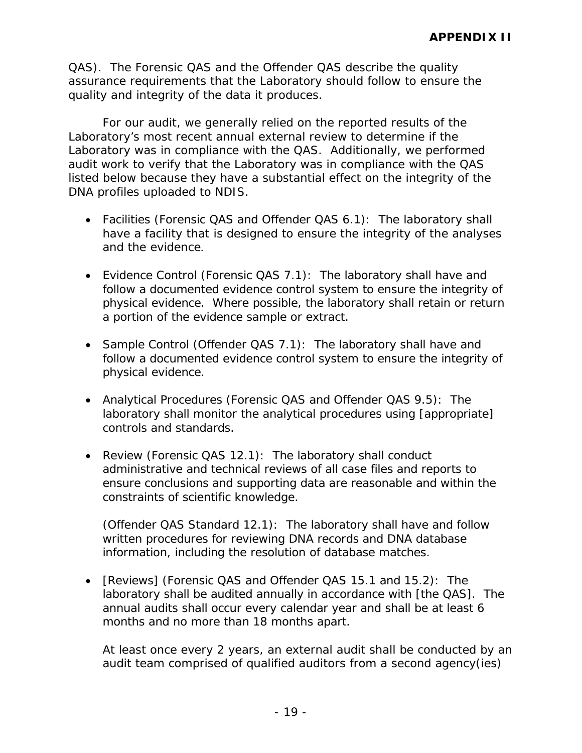QAS). The Forensic QAS and the Offender QAS describe the quality assurance requirements that the Laboratory should follow to ensure the quality and integrity of the data it produces.

For our audit, we generally relied on the reported results of the Laboratory's most recent annual external review to determine if the Laboratory was in compliance with the QAS. Additionally, we performed audit work to verify that the Laboratory was in compliance with the QAS listed below because they have a substantial effect on the integrity of the DNA profiles uploaded to NDIS.

- Facilities (Forensic QAS and Offender QAS 6.1): The laboratory shall have a facility that is designed to ensure the integrity of the analyses and the evidence.
- Evidence Control (Forensic QAS 7.1): The laboratory shall have and follow a documented evidence control system to ensure the integrity of physical evidence. Where possible, the laboratory shall retain or return a portion of the evidence sample or extract.
- Sample Control (Offender QAS 7.1): The laboratory shall have and follow a documented evidence control system to ensure the integrity of physical evidence.
- Analytical Procedures (Forensic QAS and Offender QAS 9.5): The laboratory shall monitor the analytical procedures using [appropriate] controls and standards.
- Review (Forensic QAS 12.1): The laboratory shall conduct administrative and technical reviews of all case files and reports to ensure conclusions and supporting data are reasonable and within the constraints of scientific knowledge.

(Offender QAS Standard 12.1): The laboratory shall have and follow written procedures for reviewing DNA records and DNA database information, including the resolution of database matches.

• [Reviews] (Forensic QAS and Offender QAS 15.1 and 15.2): The laboratory shall be audited annually in accordance with [the QAS]. The annual audits shall occur every calendar year and shall be at least 6 months and no more than 18 months apart.

At least once every 2 years, an external audit shall be conducted by an audit team comprised of qualified auditors from a second agency(ies)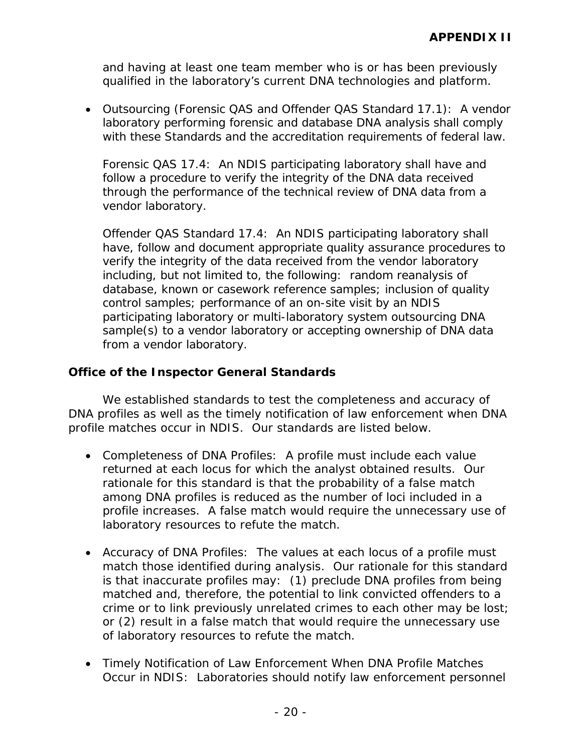and having at least one team member who is or has been previously qualified in the laboratory's current DNA technologies and platform.

• Outsourcing (Forensic QAS and Offender QAS Standard 17.1): A vendor laboratory performing forensic and database DNA analysis shall comply with these Standards and the accreditation requirements of federal law.

Forensic QAS 17.4: An NDIS participating laboratory shall have and follow a procedure to verify the integrity of the DNA data received through the performance of the technical review of DNA data from a vendor laboratory.

Offender QAS Standard 17.4: An NDIS participating laboratory shall have, follow and document appropriate quality assurance procedures to verify the integrity of the data received from the vendor laboratory including, but not limited to, the following: random reanalysis of database, known or casework reference samples; inclusion of quality control samples; performance of an on-site visit by an NDIS participating laboratory or multi-laboratory system outsourcing DNA sample(s) to a vendor laboratory or accepting ownership of DNA data from a vendor laboratory.

## <span id="page-24-0"></span>**Office of the Inspector General Standards**

We established standards to test the completeness and accuracy of DNA profiles as well as the timely notification of law enforcement when DNA profile matches occur in NDIS. Our standards are listed below.

- Completeness of DNA Profiles: A profile must include each value returned at each locus for which the analyst obtained results. Our rationale for this standard is that the probability of a false match among DNA profiles is reduced as the number of loci included in a profile increases. A false match would require the unnecessary use of laboratory resources to refute the match.
- Accuracy of DNA Profiles: The values at each locus of a profile must match those identified during analysis. Our rationale for this standard is that inaccurate profiles may: (1) preclude DNA profiles from being matched and, therefore, the potential to link convicted offenders to a crime or to link previously unrelated crimes to each other may be lost; or (2) result in a false match that would require the unnecessary use of laboratory resources to refute the match.
- Timely Notification of Law Enforcement When DNA Profile Matches Occur in NDIS: Laboratories should notify law enforcement personnel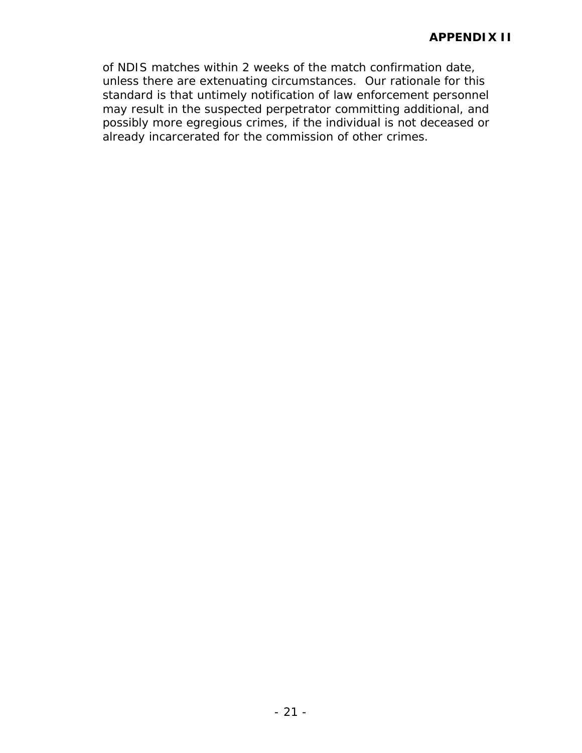of NDIS matches within 2 weeks of the match confirmation date, unless there are extenuating circumstances. Our rationale for this standard is that untimely notification of law enforcement personnel may result in the suspected perpetrator committing additional, and possibly more egregious crimes, if the individual is not deceased or already incarcerated for the commission of other crimes.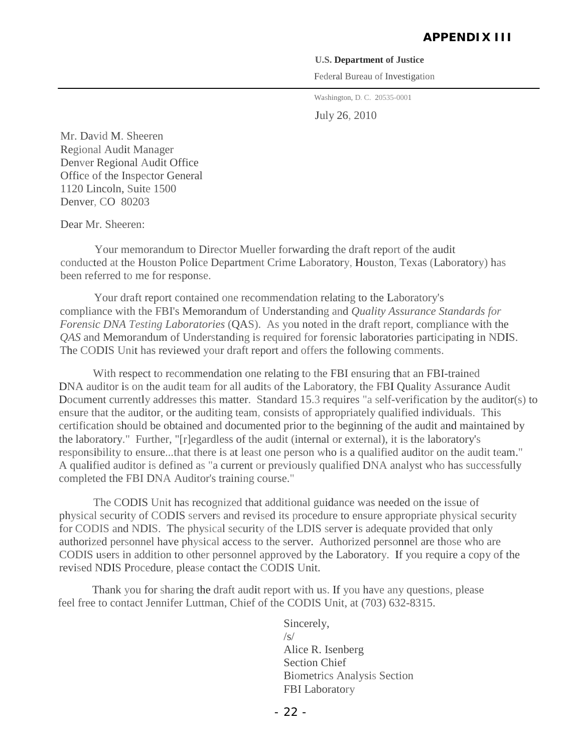#### **U.S. Department of Justice**

Federal Bureau of Investigation

Washington, D. C. 20535-0001

July 26, 2010

Mr. David M. Sheeren Regional Audit Manager Denver Regional Audit Office Office of the Inspector General 1120 Lincoln, Suite 1500 Denver, CO 80203

Dear Mr. Sheeren:

Your memorandum to Director Mueller forwarding the draft report of the audit conducted at the Houston Police Department Crime Laboratory, Houston, Texas (Laboratory) has been referred to me for response.

Your draft report contained one recommendation relating to the Laboratory's compliance with the FBI's Memorandum of Understanding and *Quality Assurance Standards for Forensic DNA Testing Laboratories* (QAS). As you noted in the draft report, compliance with the *QAS* and Memorandum of Understanding is required for forensic laboratories participating in NDIS. The CODIS Unit has reviewed your draft report and offers the following comments.

With respect to recommendation one relating to the FBI ensuring that an FBI-trained DNA auditor is on the audit team for all audits of the Laboratory, the FBI Quality Assurance Audit Document currently addresses this matter. Standard 15.3 requires "a self-verification by the auditor(s) to ensure that the auditor, or the auditing team, consists of appropriately qualified individuals. This certification should be obtained and documented prior to the beginning of the audit and maintained by the laboratory." Further, "[r]egardless of the audit (internal or external), it is the laboratory's responsibility to ensure...that there is at least one person who is a qualified auditor on the audit team." A qualified auditor is defined as "a current or previously qualified DNA analyst who has successfully completed the FBI DNA Auditor's training course."

The CODIS Unit has recognized that additional guidance was needed on the issue of physical security of CODIS servers and revised its procedure to ensure appropriate physical security for CODIS and NDIS. The physical security of the LDIS server is adequate provided that only authorized personnel have physical access to the server. Authorized personnel are those who are CODIS users in addition to other personnel approved by the Laboratory. If you require a copy of the revised NDIS Procedure, please contact the CODIS Unit.

Thank you for sharing the draft audit report with us. If you have any questions, please feel free to contact Jennifer Luttman, Chief of the CODIS Unit, at (703) 632-8315.

> Sincerely,  $\sqrt{s}$ Alice R. Isenberg Section Chief Biometrics Analysis Section FBI Laboratory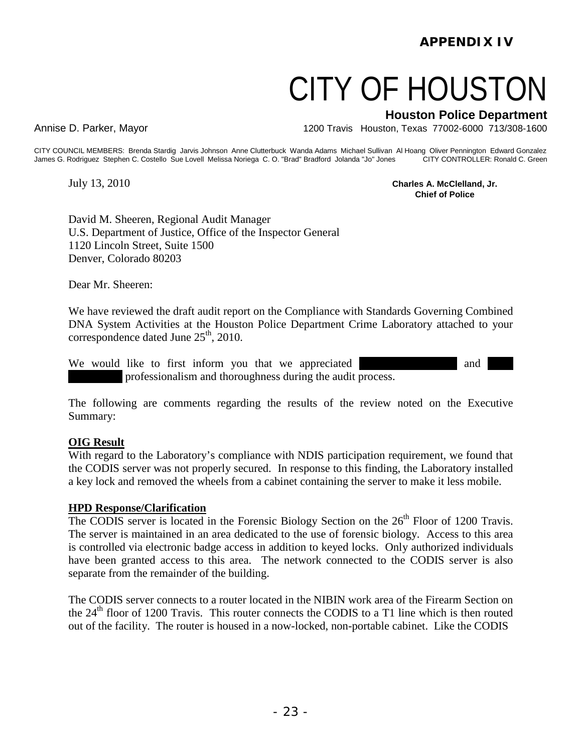# CITY OF HOUSTON

**Houston Police Department**

Annise D. Parker, Mayor 1200 Travis Houston, Texas 77002-6000 713/308-1600

CITY COUNCIL MEMBERS: Brenda Stardig Jarvis Johnson Anne Clutterbuck Wanda Adams Michael Sullivan Al Hoang Oliver Pennington Edward Gonzalez<br>James G. Rodriguez Stephen C. Costello Sue Lovell Melissa Noriega C. O. "Brad" Br James G. Rodriguez Stephen C. Costello Sue Lovell Melissa Noriega C. O. "Brad" Bradford Jolanda "Jo" Jones

July 13, 2010 **Charles A. McClelland, Jr. Chief of Police**

David M. Sheeren, Regional Audit Manager U.S. Department of Justice, Office of the Inspector General 1120 Lincoln Street, Suite 1500 Denver, Colorado 80203

Dear Mr. Sheeren:

We have reviewed the draft audit report on the Compliance with Standards Governing Combined DNA System Activities at the Houston Police Department Crime Laboratory attached to your correspondence dated June 25<sup>th</sup>, 2010.

We would like to first inform you that we appreciated XXXX and XXX professionalism and thoroughness during the audit process.

The following are comments regarding the results of the review noted on the Executive Summary:

#### **OIG Result**

With regard to the Laboratory's compliance with NDIS participation requirement, we found that the CODIS server was not properly secured. In response to this finding, the Laboratory installed a key lock and removed the wheels from a cabinet containing the server to make it less mobile.

#### **HPD Response/Clarification**

The CODIS server is located in the Forensic Biology Section on the  $26<sup>th</sup>$  Floor of 1200 Travis. The server is maintained in an area dedicated to the use of forensic biology. Access to this area is controlled via electronic badge access in addition to keyed locks. Only authorized individuals have been granted access to this area. The network connected to the CODIS server is also separate from the remainder of the building.

The CODIS server connects to a router located in the NIBIN work area of the Firearm Section on the 24<sup>th</sup> floor of 1200 Travis. This router connects the CODIS to a T1 line which is then routed out of the facility. The router is housed in a now-locked, non-portable cabinet. Like the CODIS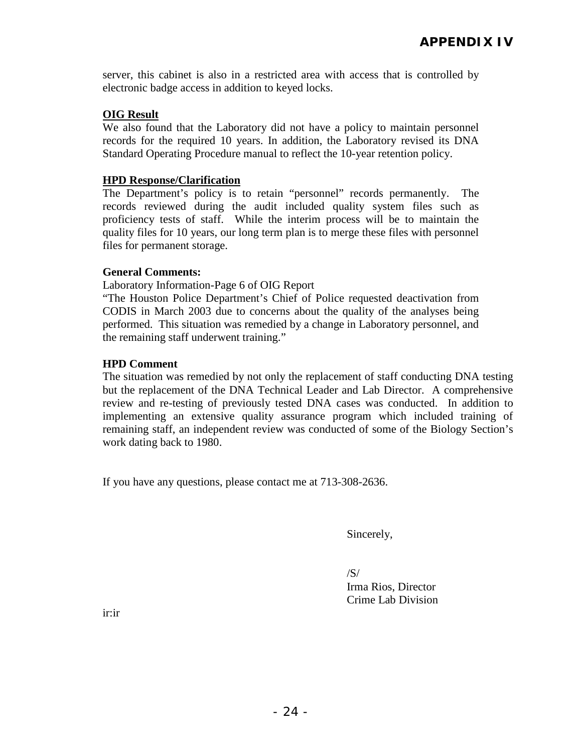server, this cabinet is also in a restricted area with access that is controlled by electronic badge access in addition to keyed locks.

#### **OIG Result**

We also found that the Laboratory did not have a policy to maintain personnel records for the required 10 years. In addition, the Laboratory revised its DNA Standard Operating Procedure manual to reflect the 10-year retention policy.

#### **HPD Response/Clarification**

The Department's policy is to retain "personnel" records permanently. The records reviewed during the audit included quality system files such as proficiency tests of staff. While the interim process will be to maintain the quality files for 10 years, our long term plan is to merge these files with personnel files for permanent storage.

#### **General Comments:**

Laboratory Information-Page 6 of OIG Report

"The Houston Police Department's Chief of Police requested deactivation from CODIS in March 2003 due to concerns about the quality of the analyses being performed. This situation was remedied by a change in Laboratory personnel, and the remaining staff underwent training."

#### **HPD Comment**

The situation was remedied by not only the replacement of staff conducting DNA testing but the replacement of the DNA Technical Leader and Lab Director. A comprehensive review and re-testing of previously tested DNA cases was conducted. In addition to implementing an extensive quality assurance program which included training of remaining staff, an independent review was conducted of some of the Biology Section's work dating back to 1980.

If you have any questions, please contact me at 713-308-2636.

Sincerely,

 $/S/$ Irma Rios, Director Crime Lab Division

ir:ir